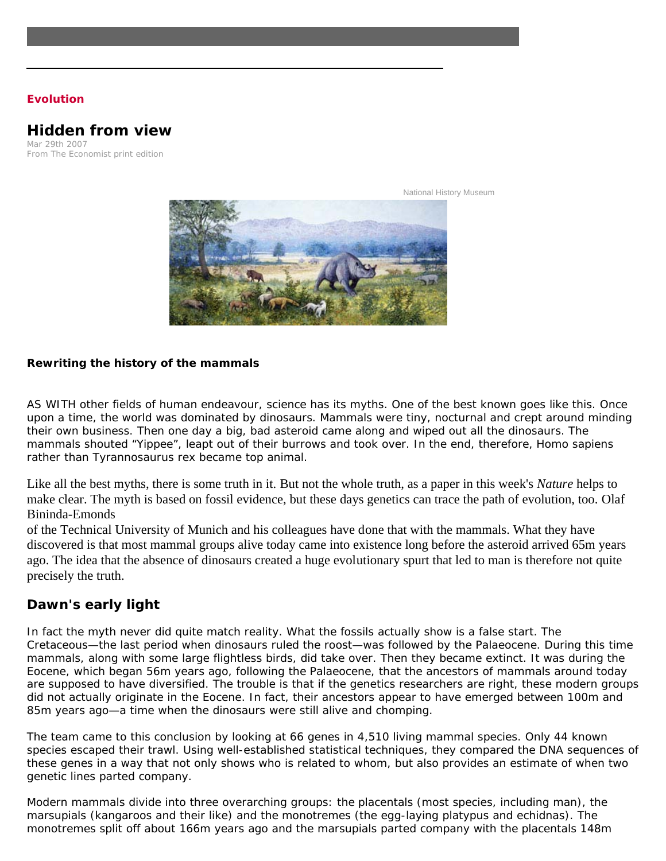## **Evolution**

## **Hidden from view**

Mar 29th 2007 From The Economist print edition



**Rewriting the history of the mammals**

AS WITH other fields of human endeavour, science has its myths. One of the best known goes like this. Once upon a time, the world was dominated by dinosaurs. Mammals were tiny, nocturnal and crept around minding their own business. Then one day a big, bad asteroid came along and wiped out all the dinosaurs. The mammals shouted "Yippee", leapt out of their burrows and took over. In the end, therefore, *Homo sapiens* rather than *Tyrannosaurus rex* became top animal.

Like all the best myths, there is some truth in it. But not the whole truth, as a paper in this week's *Nature* helps to make clear. The myth is based on fossil evidence, but these days genetics can trace the path of evolution, too. Olaf Bininda-Emonds

of the Technical University of Munich and his colleagues have done that with the mammals. What they have discovered is that most mammal groups alive today came into existence long before the asteroid arrived 65m years ago. The idea that the absence of dinosaurs created a huge evolutionary spurt that led to man is therefore not quite precisely the truth.

## **Dawn's early light**

In fact the myth never did quite match reality. What the fossils actually show is a false start. The Cretaceous—the last period when dinosaurs ruled the roost—was followed by the Palaeocene. During this time mammals, along with some large flightless birds, did take over. Then they became extinct. It was during the Eocene, which began 56m years ago, following the Palaeocene, that the ancestors of mammals around today are supposed to have diversified. The trouble is that if the genetics researchers are right, these modern groups did not actually originate in the Eocene. In fact, their ancestors appear to have emerged between 100m and 85m years ago—a time when the dinosaurs were still alive and chomping.

The team came to this conclusion by looking at 66 genes in 4,510 living mammal species. Only 44 known species escaped their trawl. Using well-established statistical techniques, they compared the DNA sequences of these genes in a way that not only shows who is related to whom, but also provides an estimate of when two genetic lines parted company.

Modern mammals divide into three overarching groups: the placentals (most species, including man), the marsupials (kangaroos and their like) and the monotremes (the egg-laying platypus and echidnas). The monotremes split off about 166m years ago and the marsupials parted company with the placentals 148m